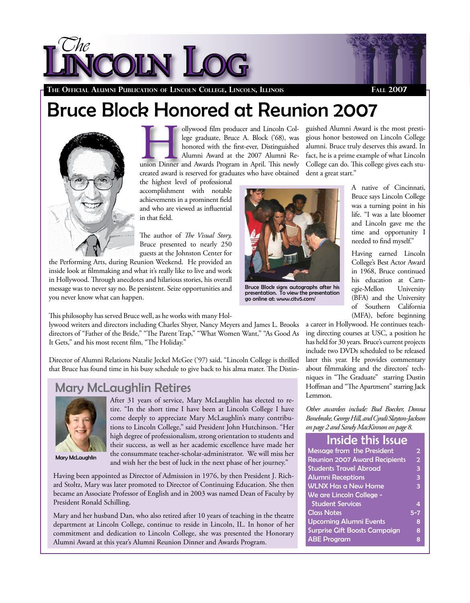



**The Official Alumni Publication of Lincoln College, Lincoln, Illinois Fall 2007** 

# Bruce Block Honored at Reunion 2007



ollywood film producer and Lincoln College graduate, Bruce A. Block ('68), was honored with the first-ever, Distinguished Alumni Award at the 2007 Alumni Reunion Dinner and Lincoln College graduate, Bruce A. Block ('68), was honored with the first-ever, Distinguished Alumni Award at the 2007 Alumni Required and Awards Program in April. This newly be a set of the set of the se created award is reserved for graduates who have obtained

the highest level of professional accomplishment with notable achievements in a prominent field and who are viewed as influential in that field.

The author of *The Visual Story,* Bruce presented to nearly 250 guests at the Johnston Center for

the Performing Arts, during Reunion Weekend. He provided an inside look at filmmaking and what it's really like to live and work in Hollywood. Through anecdotes and hilarious stories, his overall message was to never say no. Be persistent. Seize opportunities and you never know what can happen.



Bruce Block signs autographs after his presentation. To view the presentation go online at: www.citv5.com/

guished Alumni Award is the most prestigious honor bestowed on Lincoln College alumni. Bruce truly deserves this award. In fact, he is a prime example of what Lincoln College can do. This college gives each student a great start."

> A native of Cincinnati, Bruce says Lincoln College was a turning point in his life. "I was a late bloomer and Lincoln gave me the time and opportunity I needed to find myself."

> Having earned Lincoln College's Best Actor Award in 1968, Bruce continued his education at Carn-<br>egie-Mellon University egie-Mellon (BFA) and the University of Southern California (MFA), before beginning

This philosophy has served Bruce well, as he works with many Hol-

lywood writers and directors including Charles Shyer, Nancy Meyers and James L. Brooks directors of "Father of the Bride," "The Parent Trap," "What Women Want," "As Good As It Gets," and his most recent film, "The Holiday."

Director of Alumni Relations Natalie Jeckel McGee ('97) said, "Lincoln College is thrilled that Bruce has found time in his busy schedule to give back to his alma mater. The Distin-

#### Mary McLaughlin Retires



Mary McLaughlin

After 31 years of service, Mary McLaughlin has elected to retire. "In the short time I have been at Lincoln College I have come deeply to appreciate Mary McLaughlin's many contributions to Lincoln College," said President John Hutchinson. "Her high degree of professionalism, strong orientation to students and their success, as well as her academic excellence have made her the consummate teacher-scholar-administrator. We will miss her and wish her the best of luck in the next phase of her journey."

Having been appointed as Director of Admission in 1976, by then President J. Richard Stoltz, Mary was later promoted to Director of Continuing Education. She then became an Associate Professor of English and in 2003 was named Dean of Faculty by President Ronald Schilling.

Mary and her husband Dan, who also retired after 10 years of teaching in the theatre department at Lincoln College, continue to reside in Lincoln, IL. In honor of her commitment and dedication to Lincoln College, she was presented the Honorary Alumni Award at this year's Alumni Reunion Dinner and Awards Program.

a career in Hollywood. He continues teaching directing courses at USC, a position he has held for 30 years. Bruce's current projects include two DVDs scheduled to be released later this year. He provides commentary about filmmaking and the directors' techniques in "The Graduate" starring Dustin Hoffman and "The Apartment" starring Jack Lemmon.

*Other awardees include: Bud Boecker, Donna Bonebrake, George Hill, and Cyndi Slayton-Jackson on page 2 and Sandy MacKinnon on page 8.*

#### Inside this Issue

| <b>Message from the President</b>    | 2              |
|--------------------------------------|----------------|
| <b>Reunion 2007 Award Recipients</b> | $\overline{2}$ |
| <b>Students Travel Abroad</b>        | 3              |
| <b>Alumni Receptions</b>             | 3              |
| <b>WLNX Has a New Home</b>           | 3              |
| We are Lincoln College -             |                |
| <b>Student Services</b>              | 4              |
| <b>Class Notes</b>                   | $5 - 7$        |
| <b>Upcoming Alumni Events</b>        | 8              |
| <b>Surprise Gift Boosts Campaign</b> | 8              |
| <b>ABE Program</b>                   | 8              |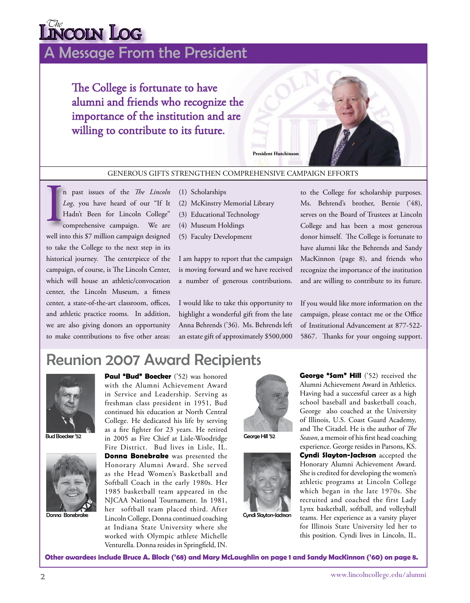# $\overline{\text{C}}$ he **Log**

# A Message From the President

The College is fortunate to have alumni and friends who recognize the importance of the institution and are willing to contribute to its future.



#### GENEROUS GIFTS STRENGTHEN COMPREHENSIVE CAMPAIGN EFFORTS

n past issues of the *The Lincoln* (1) Scholarships<br> *Log*, you have heard of our "If It (2) McKinstry N<br>
Hadn't Been for Lincoln College" (3) Educational<br>
comprehensive campaign. We are (4) Museum Ho n past issues of the *The Lincoln Log*, you have heard of our "If It Hadn't Been for Lincoln College" comprehensive campaign. We are well into this \$7 million campaign designed to take the College to the next step in its historical journey. The centerpiece of the campaign, of course, is The Lincoln Center, which will house an athletic/convocation center, the Lincoln Museum, a fitness center, a state-of-the-art classroom, offices, and athletic practice rooms. In addition, we are also giving donors an opportunity to make contributions to five other areas:

- (2) McKinstry Memorial Library
- (3) Educational Technology
- (4) Museum Holdings
- (5) Faculty Development

I am happy to report that the campaign is moving forward and we have received a number of generous contributions.

I would like to take this opportunity to highlight a wonderful gift from the late Anna Behrends ('36). Ms. Behrends left an estate gift of approximately \$500,000

to the College for scholarship purposes. Ms. Behrend's brother, Bernie ('48), serves on the Board of Trustees at Lincoln College and has been a most generous donor himself. The College is fortunate to have alumni like the Behrends and Sandy MacKinnon (page 8), and friends who recognize the importance of the institution and are willing to contribute to its future.

If you would like more information on the campaign, please contact me or the Office of Institutional Advancement at 877-522- 5867. Thanks for your ongoing support.

# Reunion 2007 Award Recipients



Bud Boecker '52



Donna Bonebrake

**Paul "Bud" Boecker** ('52) was honored with the Alumni Achievement Award in Service and Leadership. Serving as freshman class president in 1951, Bud continued his education at North Central College. He dedicated his life by serving as a fire fighter for 23 years. He retired in 2005 as Fire Chief at Lisle-Woodridge Fire District. Bud lives in Lisle, IL. **Donna Bonebrake** was presented the Honorary Alumni Award. She served as the Head Women's Basketball and Softball Coach in the early 1980s. Her 1985 basketball team appeared in the NJCAA National Tournament. In 1981, her softball team placed third. After

Lincoln College, Donna continued coaching at Indiana State University where she worked with Olympic athlete Michelle Venturella. Donna resides in Springfield, IN.



George Hill '52



Cyndi Slayton-Jackson

**George "Sam" Hill** ('52) received the Alumni Achievement Award in Athletics. Having had a successful career as a high school baseball and basketball coach, George also coached at the University of Illinois, U.S. Coast Guard Academy, and The Citadel. He is the author of *The Season*, a memoir of his first head coaching experience. George resides in Parsons, KS. **Cyndi Slayton-Jackson** accepted the Honorary Alumni Achievement Award. She is credited for developing the women's athletic programs at Lincoln College which began in the late 1970s. She recruited and coached the first Lady Lynx basketball, softball, and volleyball teams. Her experience as a varsity player for Illinois State University led her to this position. Cyndi lives in Lincoln, IL.

**Other awardees include Bruce A. Block ('68) and Mary McLaughlin on page 1 and Sandy MacKinnon ('60) on page 8.**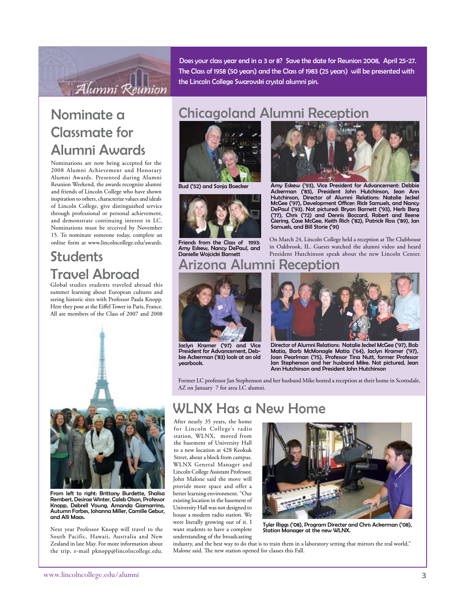

Does your class year end in a 3 or 8? Save the date for Reunion 2008, April 25-27. The Class of 1958 (50 years) and the Class of 1983 (25 years) will be presented with the Lincoln College Swarovski crystal alumni pin.

# Nominate a Classmate for Alumni Awards

Nominations are now being accepted for the 2008 Alumni Achievement and Honorary Alumni Awards. Presented during Alumni Reunion Weekend, the awards recognize alumni and friends of Lincoln College who have shown inspiration to others, characterize values and ideals of Lincoln College, give distinguished service through professional or personal achievement, and demonstrate continuing interest in LC. Nominations must be received by November 15. To nominate someone today, complete an online form at www.lincolncollege.edu/awards.

# **Students** Travel Abroad

Global studies students traveled abroad this summer learning about European cultures and seeing historic sites with Professor Paula Knopp. Here they pose at the Eiffel Tower in Paris, France. All are members of the Class of 2007 and 2008



From left to right: Brittany Burdette, Shalisa Rembert, Desirae Winter, Caleb Olson, Professor Knopp, Debrell Young, Amanda Giamarrino, Autumn Forbes, Johanna Miller, Camille Gebur, and Alli Maas.

Next year Professor Knopp will travel to the South Pacific, Hawaii, Australia and New Zealand in late May. For more information about the trip, e-mail pknopp@lincolncollege.edu.

# Chicagoland Alumni Reception



Bud ('52) and Sonja Boecker



Friends from the Class of 1993: Amy Eskew, Nancy DePaul, and Danielle Wojcicki Barnett



Amy Eskew ('93), Vice President for Advancement: Debbie Ackerman ('83), President John Hutchinson, Jean Ann Hutchinson, Director of Alumni Relations: Natalie Jeckel McGee ('97), Development Officer: Rick Samuels, and Nancy DePaul ('93). Not pictured: Bryan Barnett ('93), Herb Berg ('77), Chris ('72) and Dennis Boccard, Robert and Ileene Giering, Case McGee, Keith Rich ('82), Patrick Ross ('89), Jan Samuels, and Bill Storie ('91)

On March 24, Lincoln College held a reception at The Clubhouse in Oakbrook, IL. Guests watched the alumni video and heard President Hutchinson speak about the new Lincoln Center.

#### Arizona Alumni Reception



Jaclyn Kramer ('97) and Vice President for Advancement, Debbie Ackerman ('83) look at an old yearbook.



Director of Alumni Relations: Natalie Jeckel McGee ('97), Bob Matia, Barb McMonagle Matia ('64), Jaclyn Kramer ('97), Joan Pearlman ('75), Professor Tina Nutt, former Professor Jan Stephenson and her husband Mike. Not pictured, Jean Ann Hutchinson and President John Hutchinson

Former LC professor Jan Stephenson and her husband Mike hosted a reception at their home in Scottsdale, AZ on January 7 for area LC alumni.

### WLNX Has a New Home

After nearly 35 years, the home for Lincoln College's radio station, WLNX, moved from the basement of University Hall to a new location at 428 Keokuk Street, about a block from campus. WLNX General Manager and Lincoln College Assistant Professor, John Malone said the move will provide more space and offer a better learning environment. "Our existing location in the basement of University Hall was not designed to house a modern radio station. We were literally growing out of it. I want students to have a complete understanding of the broadcasting



Tyler Riggs ('08), Program Directer and Chris Ackerman ('08), Station Manager at the new WLNX.

industry, and the best way to do that is to train them in a laboratory setting that mirrors the real world," Malone said. The new station opened for classes this Fall.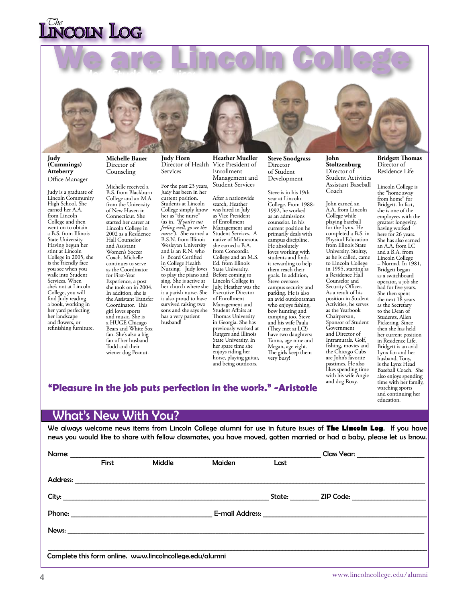# **VCOLN LOG**

We are Lincoln College



**Judy (Cummings) Atteberry** Office Manager

Judy is a graduate of Lincoln Community High School. She earned her A.A. from Lincoln College and then went on to obtain a B.S. from Illinois State University. Having begun her stint at Lincoln College in 2005, she is the friendly face you see when you walk into Student Services. When she's not at Lincoln College, you will find Judy reading a book, working in her yard perfecting her landscape and flowers, or refinishing furniture.

**Michelle Bauer** Director of Counseling

Michelle received a B.S. from Blackburn College and an M.A. from the University of New Haven in Connecticut. She started her career at Lincoln College in 2002 as a Residence Hall Counselor and Assistant Women's Soccer Coach. Michelle continues to serve as the Coordinator for First-Year Experience, a post she took on in 2004. In addition, she is the Assistant Transfer Coordinator. This girl loves sports and music. She is a HUGE Chicago Bears and White Sox fan. She's also a big fan of her husband Todd and their wiener dog Peanut.

**Judy Horn** Director of Health Services

For the past 23 years, Judy has been in her current position. Students at Lincoln College simply know her as "the nurse" (as in, *"If you're not feeling well, go see the nurse"*). She earned a B.S.N. from Illinois Wesleyan University and is an R.N. who is Board Certified in College Health Nursing. Judy loves to play the piano and sing. She is active at her church where she is a parish nurse. She is also proud to have survived raising two sons and she says she has a very patient husband!

**Heather Mueller** Vice President of Enrollment Management and Student Services

After a nationwide search, Heather was hired in July as Vice President of Enrollment Management and Student Services. A native of Minnesota, she earned a B.A. from Concordia College and an M.S. Ed. from Illinois State University. Before coming to Lincoln College in July, Heather was the Executive Director of Enrollment Management and Student Affairs at Thomas University in Georgia. She has previously worked at Rutgers and Illinois State University. In her spare time she enjoys riding her horse, playing guitar, and being outdoors.

**Steve Snodgrass** Director of Student Development

Steve is in his 19th year at Lincoln College. From 1988- 1992, he worked as an admissions counselor. In his current position he primarily deals with campus discipline. He absolutely loves working with students and finds it rewarding to help them reach their goals. In addition, Steve oversees campus security and parking. He is also an avid outdoorsman who enjoys fishing, bow hunting and camping too. Steve and his wife Paula (They met at LC!) have two daughters: Tanna, age nine and Megan, age eight. The girls keep them very busy!

**John Stoltzenburg** Director of Student Activities Assistant Baseball Coach

John earned an A.A. from Lincoln College while playing baseball for the Lynx. He completed a B.S. in Physical Education from Illinois State University. Stoltzy, as he is called, came to Lincoln College in 1995, starting as a Residence Hall Counselor and Security Officer. As a result of his position in Student Activities, he serves as the Yearbook Chairperson, Sponsor of Student Government and Director of Intramurals. Golf, fishing, movies and the Chicago Cubs are John's favorite pastimes. He also likes spending time with his wife Angie and dog Roxy.

**Bridgett Thomas** Director of Residence Life

Lincoln College is the "home away from home" for Bridgett. In fact, she is one of the employees with the greatest longevity, having worked here for 26 years. She has also earned an A.A. from  $IC$ and a B.A. from Lincoln College – Normal. In 1981, Bridgett began as a switchboard operator, a job she had for five years. She then spent the next 18 years as the Secretary to the Dean of Students, Allen Pickering. Since then she has held her current position in Residence Life. Bridgett is an avid Lynx fan and her husband, Tony, is the Lynx Head Baseball Coach. She also enjoys spending time with her family, watching sports and continuing her education.

#### **"Pleasure in the job puts perfection in the work." -Aristotle**

#### What's New With You?

We always welcome news items from Lincoln College alumni for use in future issues of **The Lincoln Log**. If you have news you would like to share with fellow classmates, you have moved, gotten married or had a baby, please let us know.

|                                                          |       |        |        |                                                                                                                                                                                                                                | Class Year: ___________________ |  |  |  |
|----------------------------------------------------------|-------|--------|--------|--------------------------------------------------------------------------------------------------------------------------------------------------------------------------------------------------------------------------------|---------------------------------|--|--|--|
|                                                          | First | Middle | Maiden | Last                                                                                                                                                                                                                           |                                 |  |  |  |
|                                                          |       |        |        |                                                                                                                                                                                                                                |                                 |  |  |  |
|                                                          |       |        |        | State: and the state of the state of the state of the state of the state of the state of the state of the state of the state of the state of the state of the state of the state of the state of the state of the state of the |                                 |  |  |  |
|                                                          |       |        |        |                                                                                                                                                                                                                                |                                 |  |  |  |
|                                                          |       |        |        |                                                                                                                                                                                                                                |                                 |  |  |  |
|                                                          |       |        |        |                                                                                                                                                                                                                                |                                 |  |  |  |
| Complete this form online. www.lincolncollege.edu/alumni |       |        |        |                                                                                                                                                                                                                                |                                 |  |  |  |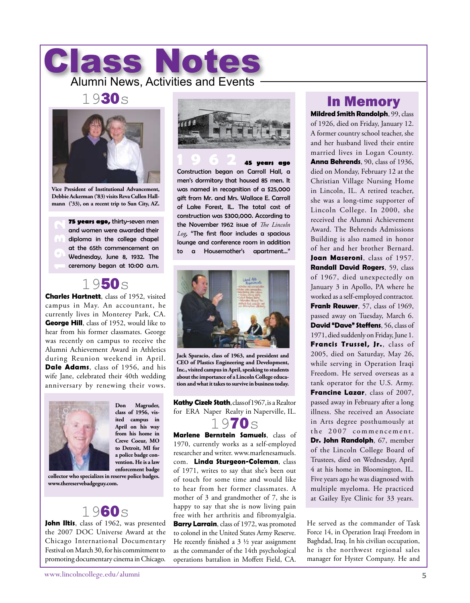# Class Notes Alumni News, Activities and Events

#### 1930s



**Vice President of Institutional Advancement, Debbie Ackerman ('83) visits Reva Cullen Hallmann ('33), on a recent trip to Sun City, AZ.**

**15 years ago,** thirty-seven men<br>cond women were awarded their<br>diploma in the college chapel<br>of the 65th commencement on<br>Wednesday, June 8, 1932. The<br>ceremony began at 10:00 a.m. and women were awarded their diploma in the college chapel at the 65th commencement on Wednesday, June 8, 1932. The ceremony began at 10:00 a.m.

#### 1950s

**Charles Hartnett**, class of 1952, visited campus in May. An accountant, he currently lives in Monterey Park, CA. **George Hill**, class of 1952, would like to hear from his former classmates. George was recently on campus to receive the Alumni Achievement Award in Athletics during Reunion weekend in April. **Dale Adams**, class of 1956, and his wife Jane, celebrated their 40th wedding anniversary by renewing their vows.



**Don Magruder, class of 1956, visited campus in April on his way from his home in Creve Coeur, MO to Detroit, MI for a police badge convention. He is a law enforcement badge** 

#### **collector who specializes in reserve police badges. www.thereservebadgeguy.com.**

### 1960s

**John Iltis**, class of 1962, was presented the 2007 DOC Universe Award at the Chicago International Documentary Festival on March 30, for his commitment to promoting documentary cinema in Chicago.



**1 9 6 2 45 years ago** Construction began on Carroll Hall, a men's dormitory that housed 85 men. It was named in recognition of a \$25,000 gift from Mr. and Mrs. Wallace E. Carroll of Lake Forest, IL. The total cost of construction was \$300,000. According to the November 1962 issue of *The Lincoln Log*, "The first floor includes a spacious lounge and conference room in addition to a Housemother's apartment…"



**Jack Sparacio, class of 1963, and president and CEO of Plastics Engineering and Development, Inc., visited campus in April, speaking to students about the importance of a Lincoln College education and what it takes to survive in business today.** 

**Kathy Cizek Stath**, class of 1967, is a Realtor for ERA Naper Realty in Naperville, IL.



**Marlene Bernstein Samuels**, class of 1970, currently works as a self-employed researcher and writer. www.marlenesamuels. com. **Linda Sturgeon-Coleman**, class of 1971, writes to say that she's been out of touch for some time and would like to hear from her former classmates. A mother of 3 and grandmother of 7, she is happy to say that she is now living pain free with her arthritis and fibromyalgia. **Barry Larrain**, class of 1972, was promoted to colonel in the United States Army Reserve. He recently finished a  $3\frac{1}{2}$  year assignment as the commander of the 14th psychological operations battalion in Moffett Field, CA.

### In Memory

**Mildred Smith Randolph**, 99, class of 1926, died on Friday, January 12. A former country school teacher, she and her husband lived their entire married lives in Logan County. **Anna Behrends**, 90, class of 1936, died on Monday, February 12 at the Christian Village Nursing Home in Lincoln, IL. A retired teacher, she was a long-time supporter of Lincoln College. In 2000, she received the Alumni Achievement Award. The Behrends Admissions Building is also named in honor of her and her brother Bernard. **Joan Maseroni**, class of 1957. **Randall David Rogers**, 59, class of 1967, died unexpectedly on January 3 in Apollo, PA where he worked as a self-employed contractor. **Frank Reuwer**, 57, class of 1969, passed away on Tuesday, March 6. **David "Dave" Steffens**, 56, class of 1971, died suddenly on Friday, June 1. **Francis Trussel, Jr.**, class of 2005, died on Saturday, May 26, while serving in Operation Iraqi Freedom. He served overseas as a tank operator for the U.S. Army. **Francine Lazar**, class of 2007, passed away in February after a long illness. She received an Associate in Arts degree posthumously at the 2007 commencement. **Dr. John Randolph**, 67, member of the Lincoln College Board of Trustees, died on Wednesday, April 4 at his home in Bloomington, IL. Five years ago he was diagnosed with multiple myeloma. He practiced at Gailey Eye Clinic for 33 years.

He served as the commander of Task Force 14, in Operation Iraqi Freedom in Baghdad, Iraq. In his civilian occupation, he is the northwest regional sales manager for Hyster Company. He and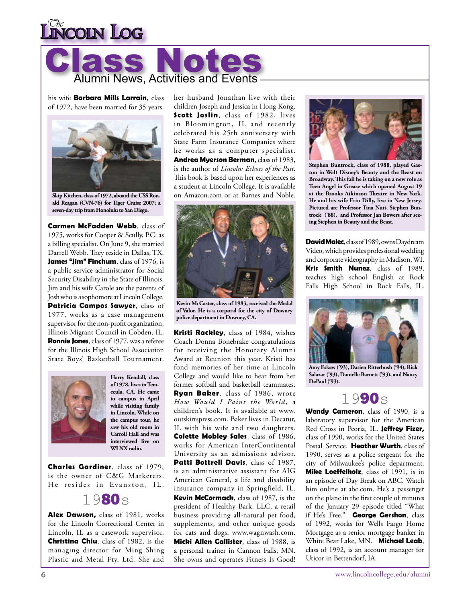# **INCOLN LOG**



his wife **Barbara Mills Larrain**, class of 1972, have been married for 35 years.



**Skip Kitchen, class of 1972, aboard the USS Ronald Reagan (CVN-76) for Tiger Cruise 2007; a seven-day trip from Honolulu to San Diego.**

**Carmen McFadden Webb**, class of 1975, works for Cooper & Scully, P.C. as a billing specialist. On June 9, she married Darrell Webb. They reside in Dallas, TX. **James "Jim" Finchum**, class of 1976, is a public service administrator for Social Security Disability in the State of Illinois. Jim and his wife Carole are the parents of Josh who is a sophomore at Lincoln College. **Patricia Campos Sawyer**, class of 1977, works as a case management supervisor for the non-profit organization, Illinois Migrant Council in Cobden, IL. **Ronnie Jones**, class of 1977, was a referee for the Illinois High School Association State Boys' Basketball Tournament.



**Harry Kendall, class of 1978, lives in Temecula, CA. He came to campus in April while visiting family in Lincoln. While on the campus tour, he saw his old room in Carroll Hall and was interviewed live on WLNX radio.** 

**Charles Gardiner**, class of 1979, is the owner of C&G Marketers. He resides in Evanston, IL.

### 1980s

**Alex Dawson,** class of 1981, works for the Lincoln Correctional Center in Lincoln, IL as a casework supervisor. **Christina Chiu**, class of 1982, is the managing director for Ming Shing Plastic and Metal Fty. Ltd. She and

her husband Jonathan live with their children Joseph and Jessica in Hong Kong. **Scott Joslin**, class of 1982, lives in Bloomington, IL and recently celebrated his 25th anniversary with State Farm Insurance Companies where he works as a computer specialist. **Andrea Myerson Berman**, class of 1983, is the author of *Lincoln: Echoes of the Past*. This book is based upon her experiences as a student at Lincoln College. It is available on Amazon.com or at Barnes and Noble.

![](_page_5_Picture_12.jpeg)

**Kevin McCaster, class of 1983, received the Medal of Valor. He is a corporal for the city of Downey police department in Downey, CA.**

**Kristi Rackley**, class of 1984, wishes Coach Donna Bonebrake congratulations for receiving the Honorary Alumni Award at Reunion this year. Kristi has fond memories of her time at Lincoln College and would like to hear from her former softball and basketball teammates. **Ryan Baker**, class of 1986, wrote *How Would I Paint the World*, a children's book. It is available at www. outskirtspress.com. Baker lives in Decatur, IL with his wife and two daughters. **Colette Mobley Sales**, class of 1986, works for American InterContinental University as an admissions advisor. **Patti Bottrell Davis**, class of 1987, is an administrative assistant for AIG American General, a life and disability insurance company in Springfield, IL. **Kevin McCormack**, class of 1987, is the president of Healthy Bark, LLC, a retail business providing all-natural pet food, supplements, and other unique goods for cats and dogs. www.wagnwash.com. **Micki Allen Callister**, class of 1988, is a personal trainer in Cannon Falls, MN. She owns and operates Fitness Is Good!

![](_page_5_Picture_15.jpeg)

**Stephen Buntrock, class of 1988, played Gaston in Walt Disney's Beauty and the Beast on Broadway. This fall he is taking on a new role as Teen Angel in Grease which opened August 19 at the Brooks Atkinson Theatre in New York. He and his wife Erin Dilly, live in New Jersey. Pictured are Professor Tina Nutt, Stephen Buntrock ('88), and Professor Jan Bowers after seeing Stephen in Beauty and the Beast.**

**David Malec**, class of 1989, owns Daydream Video, which provides professional wedding and corporate videography in Madison, WI. **Kris Smith Nunez**, class of 1989, teaches high school English at Rock Falls High School in Rock Falls, IL.

![](_page_5_Picture_18.jpeg)

**Amy Eskew ('93), Darien Ritterbush ('94), Rick Salazar ('93), Danielle Barnett ('93), and Nancy DePaul ('93).**

1990s

**Wendy Cameron**, class of 1990, is a laboratory supervisor for the American Red Cross in Peoria, IL. **Jeffrey Fizer,** class of 1990, works for the United States Postal Service. **Heather Wurth**, class of 1990, serves as a police sergeant for the city of Milwaukee's police department. **Mike Loeffelholz**, class of 1991, is in an episode of Day Break on ABC. Watch him online at abc.com. He's a passenger on the plane in the first couple of minutes of the January 29 episode titled "What if He's Free." **George Gershon**, class of 1992, works for Wells Fargo Home Mortgage as a senior mortgage banker in White Bear Lake, MN. **Michael Leab**, class of 1992, is an account manager for Uticor in Bettendorf, IA.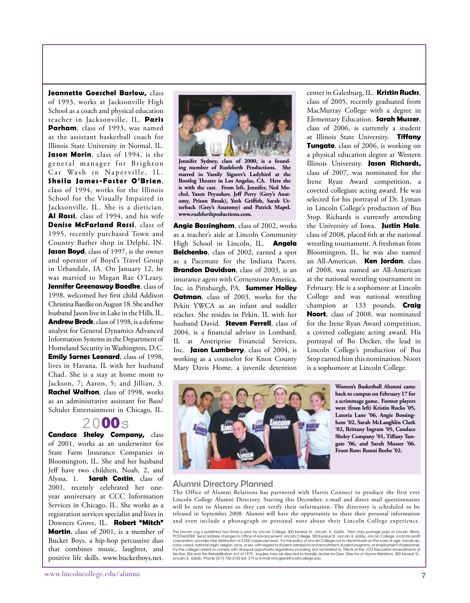**Jeannette Goeschel Barlow,** class of 1993, works at Jacksonville High School as a coach and physical education teacher in Jacksonville, IL. **Paris Parham**, class of 1993, was named as the assistant basketball coach for Illinois State University in Normal, IL. **Jason Morin**, class of 1994, is the general manager for Brighton Car Wash in Naperville, IL. **Sheila James-Foster O'Brien**, class of 1994, works for the Illinois School for the Visually Impaired in Jacksonville, IL. She is a dietician. **Al Rossi**, class of 1994, and his wife **Denise McFarland Rossi**, class of 1995, recently purchased Town and Country Barber shop in Delphi, IN. **Jason Boyd**, class of 1997, is the owner and operator of Boyd's Travel Group in Urbandale, IA. On January 12, he was married to Megan Rae O'Leary. **Jennifer Greenaway Baedke**, class of 1998, welcomed her first child Addison Christina Baedke on August 18. She and her husband Jason live in Lake in the Hills, IL. **Andrew Brock**, class of 1998, is a defense analyst for General Dynamics Advanced Information Systems in the Department of Homeland Security in Washington, D.C. **Emily Sarnes Leonard**, class of 1998, lives in Havana, IL with her husband Chad. She is a stay at home mom to Jackson, 7; Aaron, 5; and Jillian, 3. **Rachel Wolfson**, class of 1998, works as an administrative assistant for Bass/ Schuler Entertainment in Chicago, IL.

#### 2000s

**Candace Sheley Company,** class of 2001, works as an underwriter for State Farm Insurance Companies in Bloomington, IL. She and her husband Jeff have two children, Noah, 2, and Alyssa, 1. **Sarah Costin**, class of 2001, recently celebrated her oneyear anniversary at CCC Information Services in Chicago, IL. She works as a registration services specialist and lives in Downers Grove, IL. **Robert "Mitch" Martin**, class of 2001, is a member of Bucket Boys, a hip-hop percussive duo that combines music, laughter, and positive life skills. www.bucketboys.net.

![](_page_6_Picture_3.jpeg)

**Jennifer Sydney, class of 2000, is a founding member of Rushforth Productions. She starred in Vassily Sigarev's Ladybird at the Bootleg Theatre in Los Angelas, CA. Here she is with the cast. From left, Jennifer, Ned Mochel, Yasen Peyankov, Jeff Perry (Grey's Anatomy, Prison Break), York Griffith, Sarah Utterback (Grey's Anatomy) and Patrick Mapel. www.rushforthpoductions.com.**

**Angie Bossingham**, class of 2002, works as a teacher's aide at Lincoln Community High School in Lincoln, IL. **Angela Belchenko**, class of 2002, earned a spot as a Pacemate for the Indiana Pacers. **Brandon Davidson**, class of 2003, is an insurance agent with Cornerstone America, Inc. in Pittsburgh, PA. **Summer Holley Oatman**, class of 2003, works for the Pekin YWCA as an infant and toddler teacher. She resides in Pekin, IL with her husband David. **Steven Ferrell**, class of 2004, is a financial advisor in Lombard, IL at Ameriprise Financial Services, Inc. **Jason Lumberry**, class of 2004, is working as a counselor for Knox County Mary Davis Home, a juvenile detention center in Galesburg, IL. **Kristin Rucks**, class of 2005, recently graduated from MacMurray College with a degree in Elementary Education. **Sarah Musser**, class of 2006, is currently a student at Illinois State University. **Tiffany Tungate**, class of 2006, is working on a physical education degree at Western Illinois University. **Jason Richards,** class of 2007, was nominated for the Irene Ryan Award competition, a coveted collegiate acting award. He was selected for his portrayal of Dr. Lyman in Lincoln College's production of Bus Stop. Richards is currently attending the University of Iowa. **Justin Hale**, class of 2008, placed 6th at the national wrestling tournament. A freshman from Bloomington, IL, he was also named an All-American. **Ken Jordan**, class of 2008, was named an All-American at the national wrestling tournament in February. He is a sophomore at Lincoln College and was national wrestling champion at 133 pounds. **Craig Noort**, class of 2008, was nominated for the Irene Ryan Award competition, a coveted collegiate acting award. His portrayal of Bo Decker, the lead in Lincoln College's production of Bus Stop earned him this nomination. Noort is a sophomore at Lincoln College.

![](_page_6_Picture_7.jpeg)

**Women's Basketball Alumni came back to campus on February 17 for a scrimmage game. Former players were (from left) Kristin Rucks '05, Latoria Lane '06, Angie Bossingham '02, Sarah McLaughlin Clark '02, Brittany Ingram '05, Candace Sheley Company '01, Tiffany Tungate '06, and Sarah Musser '06. Front Row: Ronni Beebe '02.**

#### Alumni Directory Planned

The Office of Alumni Relations has partnered with Harris Connect to produce the first ever Lincoln College Alumni Directory. Starting this December, e-mail and direct mail questionnaires will be sent to Alumni so they can verify their information. The directory is scheduled to be released in September 2008. Alumni will have the opportunity to share their personal information and even include a photograph or personal note about their Lincoln College experience.

The Lincoln Log is published two times a year by Lincoln College, 300 Keokuk St., Lincoln, IL 62656. Third class postage paid at Lincoln, Illinois.<br>POSTMASTER: Send address changes to Ofice of Advancement, Lincoln College, color, creed, national origin, religion, race, or sex, with regard to student admissions and recruitment, student programs, or employment of personnel. lt is the college's intent to comply with all equal opportunity regulations including, but not limited to, Title IX of the 1972 Education Amendments of<br>Section 504 and the Rehabilitation Act of 1973. Inquires may be direc Lincoln, IL 62656. Phone (217) 732-3155 ext. 219 or e-mail nmcgee@lincolncollege.edu.